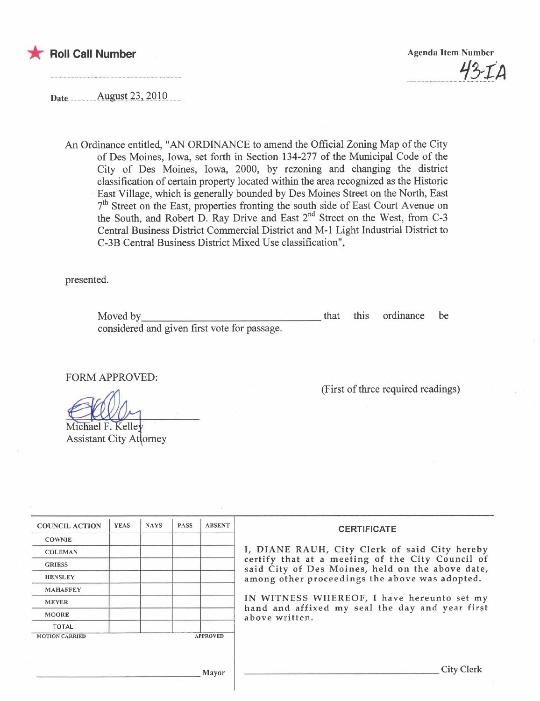

**Agenda Item Number**  $43 - 70$ 

August 23, 2010 Date...............

> An Ordinance entitled, "AN ORDINANCE to amend the Official Zoning Map of the City of Des Moines, Iowa, set forth in Section 134-277 of the Municipal Code of the City of Des Moines, Iowa, 2000, by rezoning and changing the district classification of certain property located within the area recognized as the Historic East Village, which is generally bounded by Des Moines Street on the North, East 7<sup>th</sup> Street on the East, properties fronting the south side of East Court Avenue on the South, and Robert D. Ray Drive and East  $2<sup>nd</sup>$  Street on the West, from C-3 Central Business District Commercial District and M-1 Light Industrial District to C-3B Central Business District Mixed Use classification",

presented.

this ordinance Moved by that be considered and given first vote for passage.

**FORM APPROVED:** 

(First of three required readings)

Michael F. Kellev **Assistant City Attorney** 

| <b>COUNCIL ACTION</b> | <b>YEAS</b> | <b>NAYS</b> | <b>PASS</b> | <b>ABSENT</b>   | <b>CERTIFICATE</b><br>I, DIANE RAUH, City Clerk of said City hereby<br>certify that at a meeting of the City Council of<br>said City of Des Moines, held on the above date,<br>among other proceedings the above was adopted. |  |
|-----------------------|-------------|-------------|-------------|-----------------|-------------------------------------------------------------------------------------------------------------------------------------------------------------------------------------------------------------------------------|--|
| <b>COWNIE</b>         |             |             |             |                 |                                                                                                                                                                                                                               |  |
| <b>COLEMAN</b>        |             |             |             |                 |                                                                                                                                                                                                                               |  |
| <b>GRIESS</b>         |             |             |             |                 |                                                                                                                                                                                                                               |  |
| <b>HENSLEY</b>        |             |             |             |                 |                                                                                                                                                                                                                               |  |
| <b>MAHAFFEY</b>       |             |             |             |                 |                                                                                                                                                                                                                               |  |
| <b>MEYER</b>          |             |             |             |                 | IN WITNESS WHEREOF, I have hereunto set my<br>hand and affixed my seal the day and year first<br>above written.                                                                                                               |  |
| <b>MOORE</b>          |             |             |             |                 |                                                                                                                                                                                                                               |  |
| <b>TOTAL</b>          |             |             |             |                 |                                                                                                                                                                                                                               |  |
| <b>MOTION CARRIED</b> |             |             |             | <b>APPROVED</b> |                                                                                                                                                                                                                               |  |
| Mayor                 |             |             |             |                 | <b>City Clerk</b>                                                                                                                                                                                                             |  |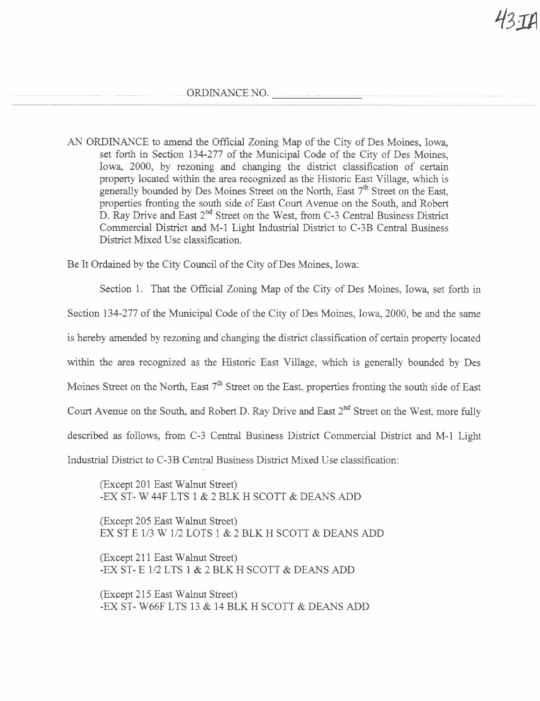ORDINANCE NO.

AN ORDINANCE to amend the Official Zonig Map of the City of Des Moines, Iowa, set forth in Section 134-277 of the Municipal Code of the City of Des Moines, Iowa, 2000, by rezoning and changing the district classification of certain property located within the area recognized as the Historic East Village, which is generally bounded by Des Moines Street on the North, East  $7<sup>th</sup>$  Street on the East, properties fronting the south side of East Court Avenue on the South, and Robert D. Ray Drive and East 2<sup>nd</sup> Street on the West, from C-3 Central Business District Commercial District and M-1 Light Industrial District to C-3B Central Business District Mixed Use classification.

Be It Ordained by the City Council of the City of Des Moines, Iowa:

Section 1. That the Official Zoning Map of the City of Des Moines, Iowa, set forth in Section 134-277 of the Muncipal Code of the City of Des Moines, Iowa, 2000, be and the same is hereby amended by rezoning and changing the district classification of certain property located within the area recognized as the Historic East Village, which is generally bounded by Des Moines Street on the North, East  $7<sup>th</sup>$  Street on the East, properties fronting the south side of East Court Avenue on the South, and Robert D. Ray Drive and East 2<sup>nd</sup> Street on the West, more fully described as follows, from C-3 Central Business District Commercial District and M-1 Light Industrial District to C-3B Central Business District Mixed Use classification:

(Except 201 East Walnut Street) -EX ST- W 44F LTS 1 & 2 BLK H SCOTT & DEANS ADD

(Except 205 East Walnut Street) EX ST E 1/3 W 1/2 LOTS 1 & 2 BLK H SCOTT & DEANS ADD

(Except 211 East Walnut Street) -EX ST- E 1/2 LTS 1 & 2 BLK H SCOTT & DEANS ADD

(Except 215 East Walnut Street) -EX ST- W66F LTS 13 & 14 BLK H SCOTT & DEANS ADD 'I3JA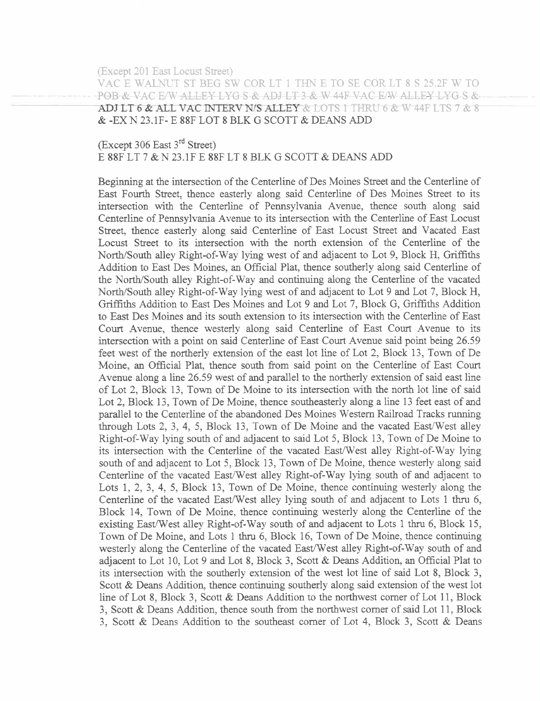(Except 201 East Locust Street)

VAC E WALNUT ST BEG SW COR LT 1 THN E TO SE COR LT 8 S 25.2F W TO  $P\Theta B-\&$  vac E/W alley Lyg s-& adj LT 3-& W 44F vac E/W alley Lyg s-& ADJ LT 6 & ALL VAC INTERV N/S ALLEY  $\&$  LOTS 1 THRU 6  $\&$  W 44F LTS 7  $\&$  8 & -EX N 23.lF- E 88F LOT 8 BLK G SCOTT & DEANS ADD

(Except 306 East 3rd Street) E 88F LT 7 & N 23.1F E 88F LT 8 BLK G SCOTT & DEANS ADD

Beginning at the intersection of the Centerline of Des Moines Street and the Centerline of East Fourth Street, thence easterly along said Centerline of Des Moines Street to its intersection with the Centerline of Pennsylvania Avenue, thence south along said Centerline of Pennylvana A venue to its intersection with the Centerline of East Locust Street, thence easterly along said Centerline of East Locust Street and Vacated East Locust Street to its intersection with the north extension of the Centerline of the North/South alley Right-of-Way lying west of and adjacent to Lot 9, Block H, Grffths Addition to East Des Moines, an Official Plat, thence southerly along said Centerline of the North/South alley Right-of-Way and continuing along the Centerline of the vacated North/South alley Right-of-Way lying west of and adjacent to Lot 9 and Lot 7, Block H, Griffths Addition to East Des Moines and Lot 9 and Lot 7, Block G, Griffiths Addition to East Des Moines and its south extension to its intersection with the Centerline of East Court Avenue, thence westerly along said Centerline of East Court Avenue to its intersection with a point on said Centerline of East Court Avenue said point being 26.59 feet west of the northerly extension of the east lot line of Lot 2, Block 13, Town of De Moine, an Official Plat, thence south from said point on the Centerline of East Court Avenue along a line 26.59 west of and parallel to the northerly extension of said east line of Lot 2, Block 13, Town of De Moine to its intersection with the north lot line of said Lot 2, Block 13, Town of De Moine, thence southeasterly along a line 13 feet east of and parallel to the Centerline of the abandoned Des Moines Western Railroad Tracks running through Lots 2, 3, 4, 5, Block 13, Town of De Moine and the vacated East/West alley Right-of-Way lying south of and adjacent to said Lot 5, Block 13, Town of De Moine to its intersection with the Centerline of the vacated East/West alley Right-of-Way lying south of and adjacent to Lot 5, Block 13, Town of De Moine, thence westerly along said Centerline of the vacated East/West alley Right-of-Way lying south of and adjacent to Lots 1, 2, 3, 4, 5, Block 13, Town of De Moine, thence continuing westerly along the Centerline of the vacated East/West alley lying south of and adjacent to Lots 1 thru 6, Block 14, Town of De Moine, thence continuing westerly along the Centerline of the existing East/West alley Right-of-Way south of and adjacent to Lots 1 thru  $6$ , Block 15, Town of De Moine, and Lots 1 thru 6, Block 16, Town of De Moine, thence continuing westerly along the Centerline of the vacated East/West alley Right-of-Way south of and adjacent to Lot 10, Lot 9 and Lot 8, Block 3, Scott & Deans Addition, an Official Plat to its intersection with the southerly extension of the west lot line of said Lot 8, Block 3, Scott & Deans Addition, thence continuing southerly along said extension of the west lot line of Lot 8, Block 3, Scott & Deans Addition to the northwest comer of Lot 11, Block 3, Scott & Deans Addition, thence south from the nortwest comer of said Lot 11, Block 3, Scott & Deans Addition to the southeast comer of Lot 4, Block 3, Scott & Deans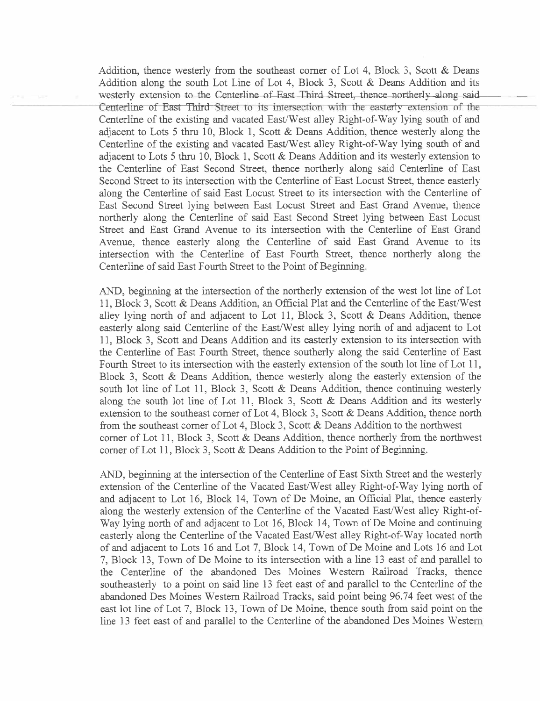Addition, thence westerly from the southeast comer of Lot 4, Block 3, Scott & Deans Addition along the south Lot Line of Lot 4, Block 3, Scott & Deans Addition and its westerly-extension to the Centerline of-East-Third Street, thence northerly-along said-<br>Centerline of East-Third Street to its intersection with the easterly extension of the Centerline of the existing and vacated East/West alley Right-of-Way lying south of and adjacent to Lots 5 thru 10, Block 1, Scott  $\&$  Deans Addition, thence westerly along the Centerline of the existing and vacated East/West alley Right-of-Way lying south of and adjacent to Lots 5 thru 10, Block 1, Scott  $\&$  Deans Addition and its westerly extension to the Centerline of East Second Street, thence northerly along said Centerline of East Second Street to its intersection with the Centerline of East Locust Street, thence easterly along the Centerline of said East Locust Street to its intersection with the Centerline of East Second Street lying between East Locust Street and East Grand Avenue, thence northerly along the Centerline of said East Second Street lying between East Locust Street and East Grand Avenue to its intersection with the Centerline of East Grand Avenue, thence easterly along the Centerline of said East Grand Avenue to its intersection with the Centerline of East Fourth Street, thence northerly along the Centerline of said East Fourth Street to the Point of Beginning.

AND, beginning at the intersection of the northerly extension of the west lot line of Lot 11, Block 3, Scott & Deans Addition, an Official Plat and the Centerline of the East/West alley lying north of and adjacent to Lot 11, Block 3, Scott & Deans Addition, thence easterly along said Centerline of the East/West alley lying north of and adjacent to Lot 11, Block 3, Scott and Deans Addition and its easterly extension to its intersection with the Centerline of East Fourh Street, thence southerly along the said Centerline of East Fourth Street to its intersection with the easterly extension of the south lot line of Lot 11, Block 3, Scott & Deans Addition, thence westerly along the easterly extension of the south lot line of Lot 11, Block 3, Scott & Deans Addition, thence continuing westerly along the south lot line of Lot 11, Block 3, Scott & Deans Addition and its westerly extension to the southeast corner of Lot 4, Block 3, Scott & Deans Addition, thence north from the southeast comer of Lot 4, Block 3, Scott & Deans Addition to the northwest corner of Lot 11, Block 3, Scott  $\&$  Deans Addition, thence northerly from the northwest corner of Lot 11, Block 3, Scott & Deans Addition to the Point of Beginning.

AND, beginning at the intersection of the Centerline of East Sixth Street and the westerly extension of the Centerline of the Vacated East/West alley Right-of-Way lying north of and adjacent to Lot 16, Block 14, Town of De Moine, an Offcial Plat, thence easterly along the westerly extension of the Centerline of the Vacated East/West alley Right-of-Way lying north of and adjacent to Lot 16, Block 14, Town of De Moine and continuing easterly along the Centerline of the Vacated East/West alley Right-of-Way located north of and adjacent to Lots 16 and Lot 7, Block 14, Town of De Moine and Lots 16 and Lot 7, Block 13 , Town of De Moine to its intersection with a line 13 east of and parallel to the Centerline of the abandoned Des Moines Western Railroad Tracks, thence southeasterly to a point on said line 13 feet east of and parallel to the Centerline of the abandoned Des Moines Western Railroad Tracks, said point being 96.74 feet west of the east lot line of Lot 7, Block 13, Town of De Moine, thence south from said point on the line 13 feet east of and parallel to the Centerline of the abandoned Des Moines Western